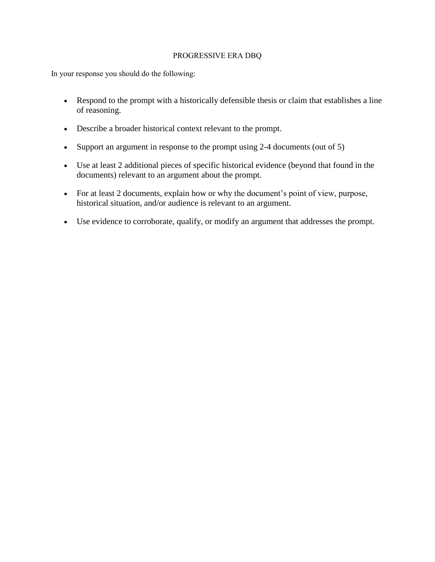# PROGRESSIVE ERA DBQ

In your response you should do the following:

- Respond to the prompt with a historically defensible thesis or claim that establishes a line of reasoning.
- Describe a broader historical context relevant to the prompt.
- Support an argument in response to the prompt using 2-4 documents (out of 5)
- Use at least 2 additional pieces of specific historical evidence (beyond that found in the documents) relevant to an argument about the prompt.
- For at least 2 documents, explain how or why the document's point of view, purpose, historical situation, and/or audience is relevant to an argument.
- Use evidence to corroborate, qualify, or modify an argument that addresses the prompt.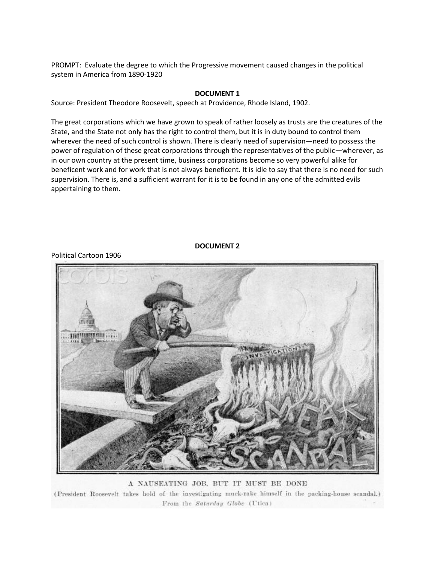PROMPT: Evaluate the degree to which the Progressive movement caused changes in the political system in America from 1890-1920

# **DOCUMENT 1**

Source: President Theodore Roosevelt, speech at Providence, Rhode Island, 1902.

The great corporations which we have grown to speak of rather loosely as trusts are the creatures of the State, and the State not only has the right to control them, but it is in duty bound to control them wherever the need of such control is shown. There is clearly need of supervision—need to possess the power of regulation of these great corporations through the representatives of the public—wherever, as in our own country at the present time, business corporations become so very powerful alike for beneficent work and for work that is not always beneficent. It is idle to say that there is no need for such supervision. There is, and a sufficient warrant for it is to be found in any one of the admitted evils appertaining to them.

# **DOCUMENT 2**

Political Cartoon 1906



A NAUSEATING JOB, BUT IT MUST BE DONE (President Roosevelt takes hold of the investigating muck-rake himself in the packing-house scandal.) From the Saturday Globe (Utica)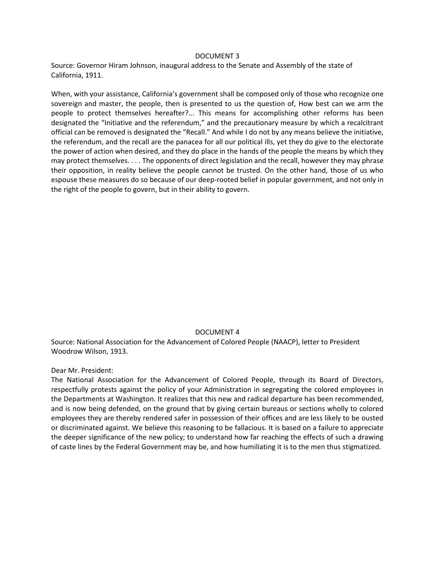#### DOCUMENT 3

Source: Governor Hiram Johnson, inaugural address to the Senate and Assembly of the state of California, 1911.

When, with your assistance, California's government shall be composed only of those who recognize one sovereign and master, the people, then is presented to us the question of, How best can we arm the people to protect themselves hereafter?... This means for accomplishing other reforms has been designated the "Initiative and the referendum," and the precautionary measure by which a recalcitrant official can be removed is designated the "Recall." And while I do not by any means believe the initiative, the referendum, and the recall are the panacea for all our political ills, yet they do give to the electorate the power of action when desired, and they do place in the hands of the people the means by which they may protect themselves. . . . The opponents of direct legislation and the recall, however they may phrase their opposition, in reality believe the people cannot be trusted. On the other hand, those of us who espouse these measures do so because of our deep-rooted belief in popular government, and not only in the right of the people to govern, but in their ability to govern.

## DOCUMENT 4

Source: National Association for the Advancement of Colored People (NAACP), letter to President Woodrow Wilson, 1913.

#### Dear Mr. President:

The National Association for the Advancement of Colored People, through its Board of Directors, respectfully protests against the policy of your Administration in segregating the colored employees in the Departments at Washington. It realizes that this new and radical departure has been recommended, and is now being defended, on the ground that by giving certain bureaus or sections wholly to colored employees they are thereby rendered safer in possession of their offices and are less likely to be ousted or discriminated against. We believe this reasoning to be fallacious. It is based on a failure to appreciate the deeper significance of the new policy; to understand how far reaching the effects of such a drawing of caste lines by the Federal Government may be, and how humiliating it is to the men thus stigmatized.